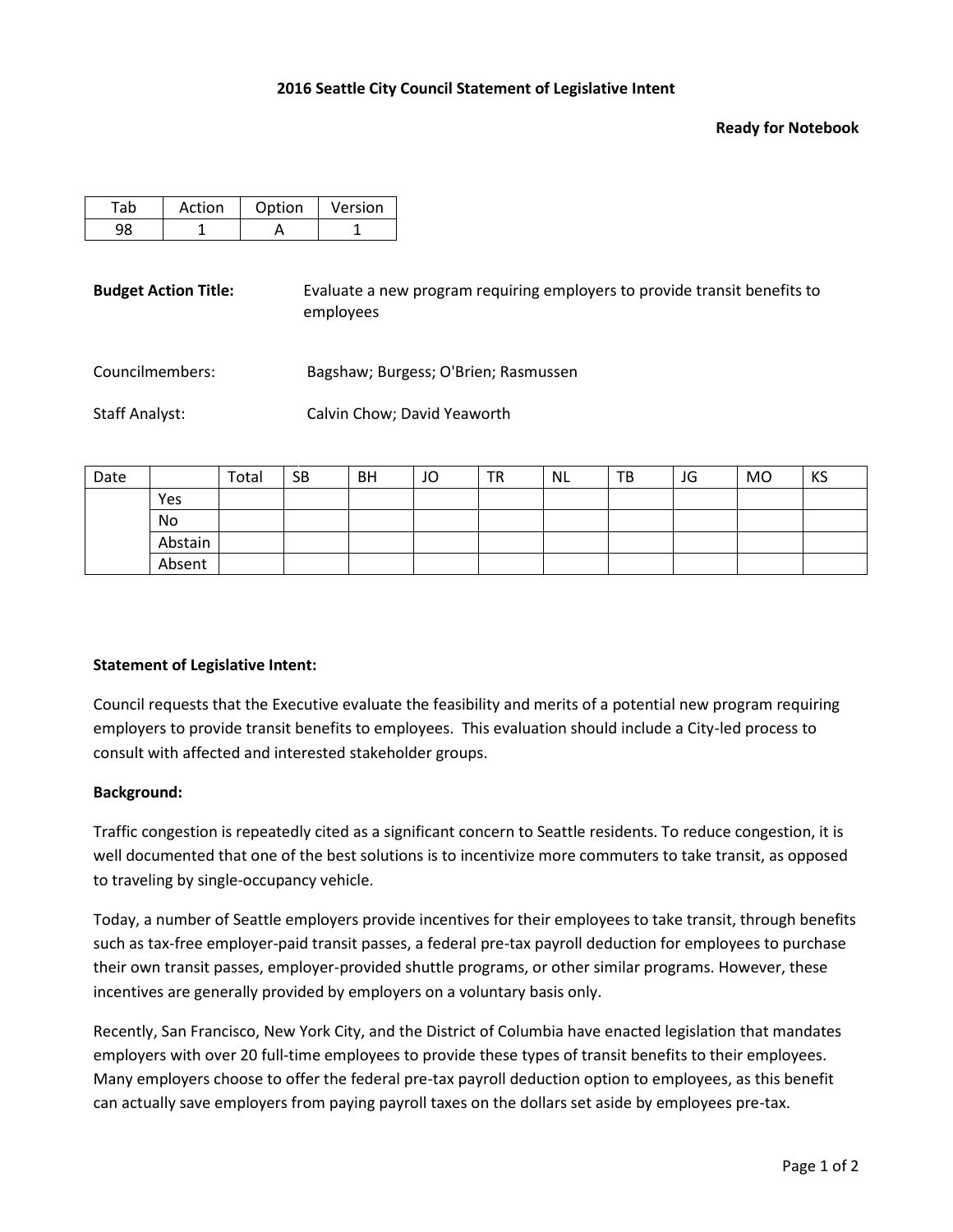## **Ready for Notebook**

| Action | Option | Version |  |  |
|--------|--------|---------|--|--|
|        |        |         |  |  |

**Budget Action Title:** Evaluate a new program requiring employers to provide transit benefits to employees

Councilmembers: Bagshaw; Burgess; O'Brien; Rasmussen

Staff Analyst: Calvin Chow; David Yeaworth

| Date |         | Total | <b>SB</b> | <b>BH</b> | JO | <b>TR</b> | <b>NL</b> | TB | JG | MO | KS |
|------|---------|-------|-----------|-----------|----|-----------|-----------|----|----|----|----|
|      | Yes     |       |           |           |    |           |           |    |    |    |    |
|      | No      |       |           |           |    |           |           |    |    |    |    |
|      | Abstain |       |           |           |    |           |           |    |    |    |    |
|      | Absent  |       |           |           |    |           |           |    |    |    |    |

## **Statement of Legislative Intent:**

Council requests that the Executive evaluate the feasibility and merits of a potential new program requiring employers to provide transit benefits to employees. This evaluation should include a City-led process to consult with affected and interested stakeholder groups.

## **Background:**

Traffic congestion is repeatedly cited as a significant concern to Seattle residents. To reduce congestion, it is well documented that one of the best solutions is to incentivize more commuters to take transit, as opposed to traveling by single-occupancy vehicle.

Today, a number of Seattle employers provide incentives for their employees to take transit, through benefits such as tax-free employer-paid transit passes, a federal pre-tax payroll deduction for employees to purchase their own transit passes, employer-provided shuttle programs, or other similar programs. However, these incentives are generally provided by employers on a voluntary basis only.

Recently, San Francisco, New York City, and the District of Columbia have enacted legislation that mandates employers with over 20 full-time employees to provide these types of transit benefits to their employees. Many employers choose to offer the federal pre-tax payroll deduction option to employees, as this benefit can actually save employers from paying payroll taxes on the dollars set aside by employees pre-tax.